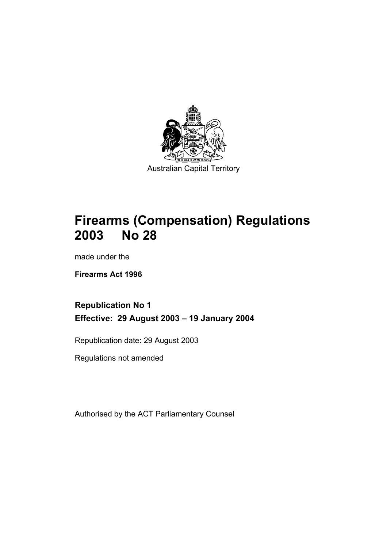

# **Firearms (Compensation) Regulations 2003 No 28**

made under the

**Firearms Act 1996** 

## **Republication No 1 Effective: 29 August 2003 – 19 January 2004**

Republication date: 29 August 2003

Regulations not amended

Authorised by the ACT Parliamentary Counsel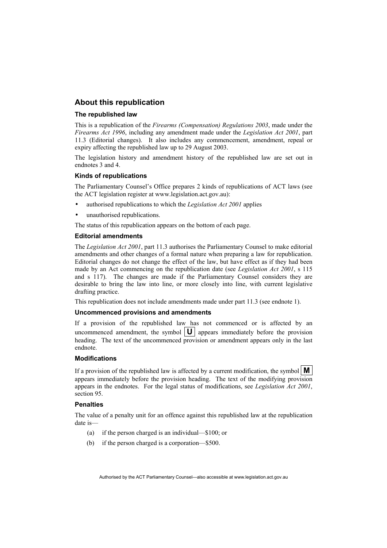### **About this republication**

#### **The republished law**

This is a republication of the *Firearms (Compensation) Regulations 2003*, made under the *Firearms Act 1996*, including any amendment made under the *Legislation Act 2001*, part 11.3 (Editorial changes).It also includes any commencement, amendment, repeal or expiry affecting the republished law up to 29 August 2003.

The legislation history and amendment history of the republished law are set out in endnotes 3 and 4.

#### **Kinds of republications**

The Parliamentary Counsel's Office prepares 2 kinds of republications of ACT laws (see the ACT legislation register at www.legislation.act.gov.au):

- authorised republications to which the *Legislation Act 2001* applies
- unauthorised republications.

The status of this republication appears on the bottom of each page.

#### **Editorial amendments**

The *Legislation Act 2001*, part 11.3 authorises the Parliamentary Counsel to make editorial amendments and other changes of a formal nature when preparing a law for republication. Editorial changes do not change the effect of the law, but have effect as if they had been made by an Act commencing on the republication date (see *Legislation Act 2001*, s 115 and s 117). The changes are made if the Parliamentary Counsel considers they are desirable to bring the law into line, or more closely into line, with current legislative drafting practice.

This republication does not include amendments made under part 11.3 (see endnote 1).

#### **Uncommenced provisions and amendments**

If a provision of the republished law has not commenced or is affected by an uncommenced amendment, the symbol  $|\mathbf{U}|$  appears immediately before the provision heading. The text of the uncommenced provision or amendment appears only in the last endnote.

#### **Modifications**

If a provision of the republished law is affected by a current modification, the symbol  $\mathbf{M}$ appears immediately before the provision heading. The text of the modifying provision appears in the endnotes. For the legal status of modifications, see *Legislation Act 2001*, section 95.

#### **Penalties**

The value of a penalty unit for an offence against this republished law at the republication date is—

- (a) if the person charged is an individual—\$100; or
- (b) if the person charged is a corporation—\$500.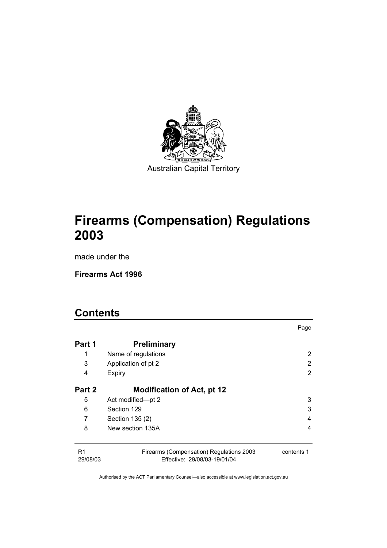

# **Firearms (Compensation) Regulations 2003**

made under the

**Firearms Act 1996** 

# **Contents**

| Part 1                     | <b>Preliminary</b>                                                       |            |
|----------------------------|--------------------------------------------------------------------------|------------|
| 1                          | Name of regulations                                                      | 2          |
| 3                          | Application of pt 2                                                      | 2          |
| 4                          | Expiry                                                                   | 2          |
| Part 2                     | <b>Modification of Act, pt 12</b>                                        |            |
| 5                          | Act modified-pt 2                                                        | 3          |
| 6                          | Section 129                                                              | 3          |
| 7                          | Section 135 (2)                                                          | 4          |
| 8                          | New section 135A                                                         | 4          |
| R <sub>1</sub><br>29/08/03 | Firearms (Compensation) Regulations 2003<br>Effective: 29/08/03-19/01/04 | contents 1 |

Page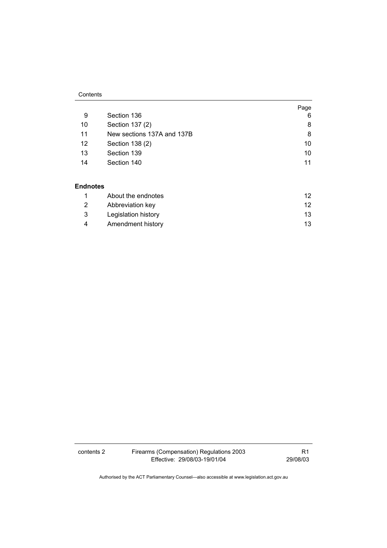#### **Contents**

|    |                            | Page |
|----|----------------------------|------|
| 9  | Section 136                | 6    |
| 10 | Section 137 (2)            | 8    |
| 11 | New sections 137A and 137B | 8    |
| 12 | Section 138 (2)            | 10   |
| 13 | Section 139                | 10   |
| 14 | Section 140                | 11   |
|    |                            |      |

#### **Endnotes**

| About the endnotes  |     |
|---------------------|-----|
| Abbreviation key    |     |
| Legislation history | 13. |
| Amendment history   | 13. |

contents 2 Firearms (Compensation) Regulations 2003 Effective: 29/08/03-19/01/04

R1 29/08/03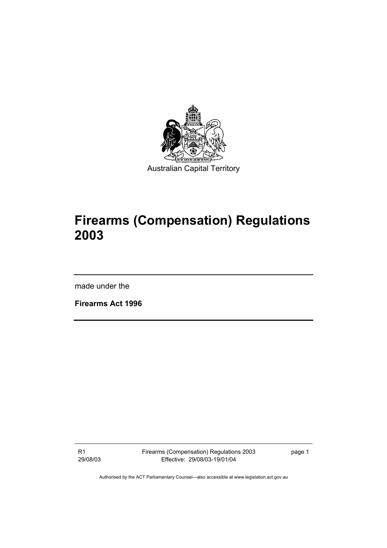

# **Firearms (Compensation) Regulations 2003**

made under the

**Firearms Act 1996** 

R1 29/08/03 Firearms (Compensation) Regulations 2003 Effective: 29/08/03-19/01/04

page 1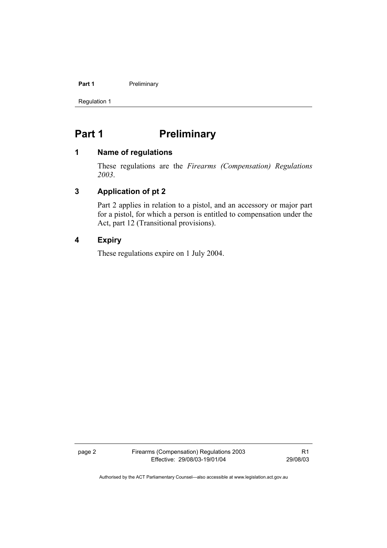#### **Part 1** Preliminary

Regulation 1

## Part 1 **Preliminary**

#### **1 Name of regulations**

These regulations are the *Firearms (Compensation) Regulations 2003*.

## **3 Application of pt 2**

Part 2 applies in relation to a pistol, and an accessory or major part for a pistol, for which a person is entitled to compensation under the Act, part 12 (Transitional provisions).

## **4 Expiry**

These regulations expire on 1 July 2004.

page 2 Firearms (Compensation) Regulations 2003 Effective: 29/08/03-19/01/04

R1 29/08/03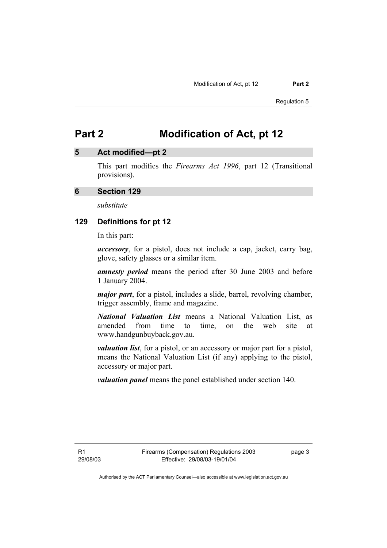## **5 Act modified—pt 2**

This part modifies the *Firearms Act 1996*, part 12 (Transitional provisions).

## **6 Section 129**

*substitute* 

#### **129 Definitions for pt 12**

In this part:

*accessory*, for a pistol, does not include a cap, jacket, carry bag, glove, safety glasses or a similar item.

*amnesty period* means the period after 30 June 2003 and before 1 January 2004.

*major part*, for a pistol, includes a slide, barrel, revolving chamber, trigger assembly, frame and magazine.

*National Valuation List* means a National Valuation List, as amended from time to time, on the web site at www.handgunbuyback.gov.au.

*valuation list*, for a pistol, or an accessory or major part for a pistol, means the National Valuation List (if any) applying to the pistol, accessory or major part.

*valuation panel* means the panel established under section 140.

page 3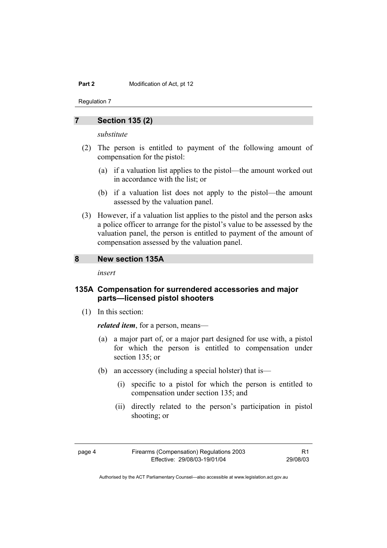Regulation 7

#### **7 Section 135 (2)**

*substitute* 

- (2) The person is entitled to payment of the following amount of compensation for the pistol:
	- (a) if a valuation list applies to the pistol—the amount worked out in accordance with the list; or
	- (b) if a valuation list does not apply to the pistol—the amount assessed by the valuation panel.
- (3) However, if a valuation list applies to the pistol and the person asks a police officer to arrange for the pistol's value to be assessed by the valuation panel, the person is entitled to payment of the amount of compensation assessed by the valuation panel.

#### **8 New section 135A**

*insert* 

## **135A Compensation for surrendered accessories and major parts—licensed pistol shooters**

(1) In this section:

*related item*, for a person, means—

- (a) a major part of, or a major part designed for use with, a pistol for which the person is entitled to compensation under section 135; or
- (b) an accessory (including a special holster) that is—
	- (i) specific to a pistol for which the person is entitled to compensation under section 135; and
	- (ii) directly related to the person's participation in pistol shooting; or
- 

R1 29/08/03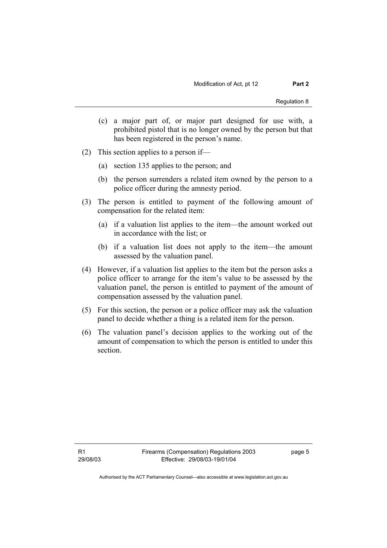- (c) a major part of, or major part designed for use with, a prohibited pistol that is no longer owned by the person but that has been registered in the person's name.
- (2) This section applies to a person if—
	- (a) section 135 applies to the person; and
	- (b) the person surrenders a related item owned by the person to a police officer during the amnesty period.
- (3) The person is entitled to payment of the following amount of compensation for the related item:
	- (a) if a valuation list applies to the item—the amount worked out in accordance with the list; or
	- (b) if a valuation list does not apply to the item—the amount assessed by the valuation panel.
- (4) However, if a valuation list applies to the item but the person asks a police officer to arrange for the item's value to be assessed by the valuation panel, the person is entitled to payment of the amount of compensation assessed by the valuation panel.
- (5) For this section, the person or a police officer may ask the valuation panel to decide whether a thing is a related item for the person.
- (6) The valuation panel's decision applies to the working out of the amount of compensation to which the person is entitled to under this section.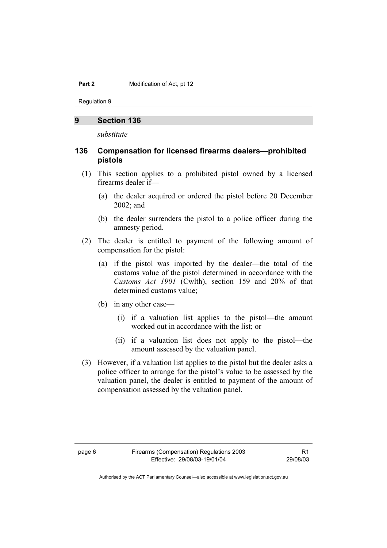Regulation 9

#### **9 Section 136**

*substitute* 

## **136 Compensation for licensed firearms dealers—prohibited pistols**

- (1) This section applies to a prohibited pistol owned by a licensed firearms dealer if—
	- (a) the dealer acquired or ordered the pistol before 20 December 2002; and
	- (b) the dealer surrenders the pistol to a police officer during the amnesty period.
- (2) The dealer is entitled to payment of the following amount of compensation for the pistol:
	- (a) if the pistol was imported by the dealer—the total of the customs value of the pistol determined in accordance with the *Customs Act 1901* (Cwlth), section 159 and 20% of that determined customs value;
	- (b) in any other case—
		- (i) if a valuation list applies to the pistol—the amount worked out in accordance with the list; or
		- (ii) if a valuation list does not apply to the pistol—the amount assessed by the valuation panel.
- (3) However, if a valuation list applies to the pistol but the dealer asks a police officer to arrange for the pistol's value to be assessed by the valuation panel, the dealer is entitled to payment of the amount of compensation assessed by the valuation panel.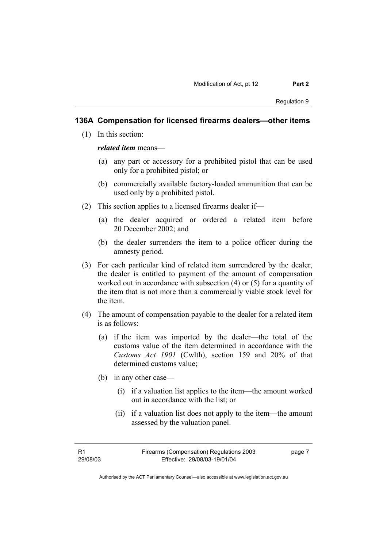## **136A Compensation for licensed firearms dealers—other items**

(1) In this section:

#### *related item* means—

- (a) any part or accessory for a prohibited pistol that can be used only for a prohibited pistol; or
- (b) commercially available factory-loaded ammunition that can be used only by a prohibited pistol.
- (2) This section applies to a licensed firearms dealer if—
	- (a) the dealer acquired or ordered a related item before 20 December 2002; and
	- (b) the dealer surrenders the item to a police officer during the amnesty period.
- (3) For each particular kind of related item surrendered by the dealer, the dealer is entitled to payment of the amount of compensation worked out in accordance with subsection (4) or (5) for a quantity of the item that is not more than a commercially viable stock level for the item.
- (4) The amount of compensation payable to the dealer for a related item is as follows:
	- (a) if the item was imported by the dealer—the total of the customs value of the item determined in accordance with the *Customs Act 1901* (Cwlth), section 159 and 20% of that determined customs value;
	- (b) in any other case—
		- (i) if a valuation list applies to the item—the amount worked out in accordance with the list; or
		- (ii) if a valuation list does not apply to the item—the amount assessed by the valuation panel.

page 7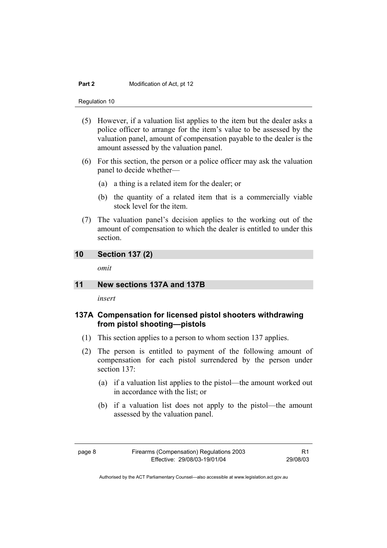Regulation 10

- (5) However, if a valuation list applies to the item but the dealer asks a police officer to arrange for the item's value to be assessed by the valuation panel, amount of compensation payable to the dealer is the amount assessed by the valuation panel.
- (6) For this section, the person or a police officer may ask the valuation panel to decide whether—
	- (a) a thing is a related item for the dealer; or
	- (b) the quantity of a related item that is a commercially viable stock level for the item.
- (7) The valuation panel's decision applies to the working out of the amount of compensation to which the dealer is entitled to under this section.

## **10 Section 137 (2)**

*omit* 

## **11 New sections 137A and 137B**

*insert* 

## **137A Compensation for licensed pistol shooters withdrawing from pistol shooting—pistols**

- (1) This section applies to a person to whom section 137 applies.
- (2) The person is entitled to payment of the following amount of compensation for each pistol surrendered by the person under section 137:
	- (a) if a valuation list applies to the pistol—the amount worked out in accordance with the list; or
	- (b) if a valuation list does not apply to the pistol—the amount assessed by the valuation panel.

R1 29/08/03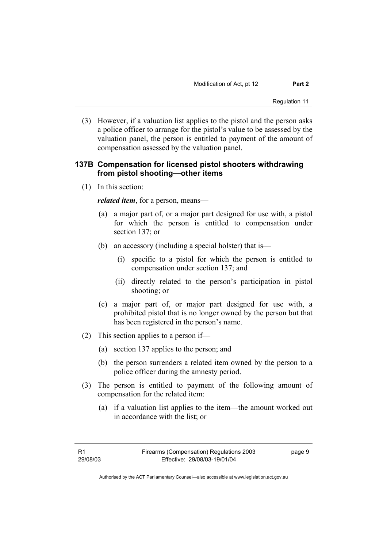(3) However, if a valuation list applies to the pistol and the person asks a police officer to arrange for the pistol's value to be assessed by the valuation panel, the person is entitled to payment of the amount of compensation assessed by the valuation panel.

## **137B Compensation for licensed pistol shooters withdrawing from pistol shooting—other items**

(1) In this section:

*related item*, for a person, means—

- (a) a major part of, or a major part designed for use with, a pistol for which the person is entitled to compensation under section 137; or
- (b) an accessory (including a special holster) that is—
	- (i) specific to a pistol for which the person is entitled to compensation under section 137; and
	- (ii) directly related to the person's participation in pistol shooting; or
- (c) a major part of, or major part designed for use with, a prohibited pistol that is no longer owned by the person but that has been registered in the person's name.
- (2) This section applies to a person if—
	- (a) section 137 applies to the person; and
	- (b) the person surrenders a related item owned by the person to a police officer during the amnesty period.
- (3) The person is entitled to payment of the following amount of compensation for the related item:
	- (a) if a valuation list applies to the item—the amount worked out in accordance with the list; or

page 9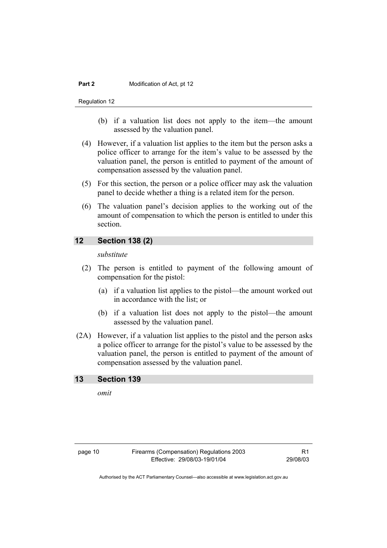Regulation 12

- (b) if a valuation list does not apply to the item—the amount assessed by the valuation panel.
- (4) However, if a valuation list applies to the item but the person asks a police officer to arrange for the item's value to be assessed by the valuation panel, the person is entitled to payment of the amount of compensation assessed by the valuation panel.
- (5) For this section, the person or a police officer may ask the valuation panel to decide whether a thing is a related item for the person.
- (6) The valuation panel's decision applies to the working out of the amount of compensation to which the person is entitled to under this section.

## **12 Section 138 (2)**

*substitute* 

- (2) The person is entitled to payment of the following amount of compensation for the pistol:
	- (a) if a valuation list applies to the pistol—the amount worked out in accordance with the list; or
	- (b) if a valuation list does not apply to the pistol—the amount assessed by the valuation panel.
- (2A) However, if a valuation list applies to the pistol and the person asks a police officer to arrange for the pistol's value to be assessed by the valuation panel, the person is entitled to payment of the amount of compensation assessed by the valuation panel.

#### **13 Section 139**

*omit*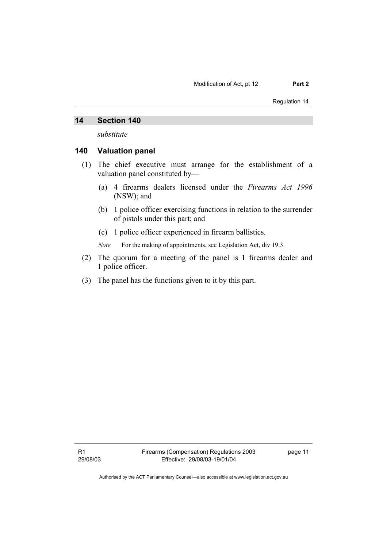Regulation 14

#### **14 Section 140**

*substitute* 

#### **140 Valuation panel**

- (1) The chief executive must arrange for the establishment of a valuation panel constituted by—
	- (a) 4 firearms dealers licensed under the *Firearms Act 1996* (NSW); and
	- (b) 1 police officer exercising functions in relation to the surrender of pistols under this part; and
	- (c) 1 police officer experienced in firearm ballistics.

*Note* For the making of appointments, see Legislation Act, div 19.3.

- (2) The quorum for a meeting of the panel is 1 firearms dealer and 1 police officer.
- (3) The panel has the functions given to it by this part.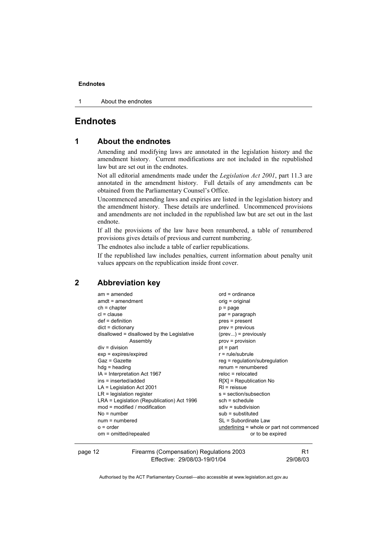#### **Endnotes**

1 About the endnotes

## **Endnotes**

#### **1 About the endnotes**

Amending and modifying laws are annotated in the legislation history and the amendment history. Current modifications are not included in the republished law but are set out in the endnotes.

Not all editorial amendments made under the *Legislation Act 2001*, part 11.3 are annotated in the amendment history. Full details of any amendments can be obtained from the Parliamentary Counsel's Office.

Uncommenced amending laws and expiries are listed in the legislation history and the amendment history. These details are underlined. Uncommenced provisions and amendments are not included in the republished law but are set out in the last endnote.

If all the provisions of the law have been renumbered, a table of renumbered provisions gives details of previous and current numbering.

The endnotes also include a table of earlier republications.

If the republished law includes penalties, current information about penalty unit values appears on the republication inside front cover.

## **2 Abbreviation key**

| $am = amended$                             | $ord = ordinance$                           |
|--------------------------------------------|---------------------------------------------|
| $amdt = amendment$                         | orig = original                             |
| $ch = chapter$                             | $p = page$                                  |
| $cl = clause$                              | par = paragraph                             |
| $def = definition$                         | pres = present                              |
| $dict = dictionary$                        | $prev = previous$                           |
| disallowed = disallowed by the Legislative | $(\text{prev})$ = previously                |
| Assembly                                   | $prov = provision$                          |
| $div =$ division                           | $pt = part$                                 |
| $exp = expires/expired$                    | $r = rule/subrule$                          |
| Gaz = Gazette                              | reg = regulation/subregulation              |
| $hdg =$ heading                            | $renum = renumbered$                        |
| IA = Interpretation Act 1967               | $reloc = relocated$                         |
| ins = inserted/added                       | $R[X]$ = Republication No                   |
| $LA =$ Legislation Act 2001                | $RI$ = reissue                              |
| $LR =$ legislation register                | s = section/subsection                      |
| LRA = Legislation (Republication) Act 1996 | $sch = schedule$                            |
| $mod = modified / modified$                | $sdiv = subdivision$                        |
| $No = number$                              | $sub =$ substituted                         |
| $num = numbered$                           | SL = Subordinate Law                        |
| $o = order$                                | underlining $=$ whole or part not commenced |
| om = omitted/repealed                      | or to be expired                            |
|                                            |                                             |

page 12 Firearms (Compensation) Regulations 2003 Effective: 29/08/03-19/01/04

R1 29/08/03